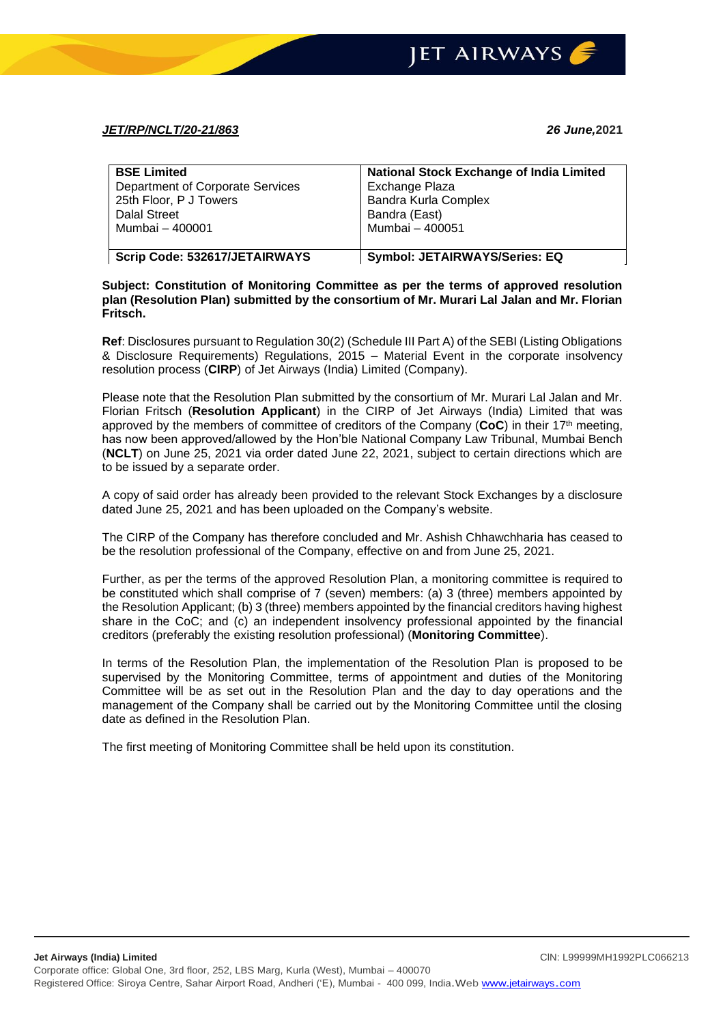## *JET/RP/NCLT/20-21/863 26 June,***2021**

| <b>BSE Limited</b>               | <b>National Stock Exchange of India Limited</b> |
|----------------------------------|-------------------------------------------------|
| Department of Corporate Services | Exchange Plaza                                  |
| 25th Floor, P J Towers           | <b>Bandra Kurla Complex</b>                     |
| <b>Dalal Street</b>              | Bandra (East)                                   |
| Mumbai – 400001                  | Mumbai - 400051                                 |
|                                  |                                                 |
| Scrip Code: 532617/JETAIRWAYS    | <b>Symbol: JETAIRWAYS/Series: EQ</b>            |

## **Subject: Constitution of Monitoring Committee as per the terms of approved resolution plan (Resolution Plan) submitted by the consortium of Mr. Murari Lal Jalan and Mr. Florian Fritsch.**

**Ref**: Disclosures pursuant to Regulation 30(2) (Schedule III Part A) of the SEBI (Listing Obligations & Disclosure Requirements) Regulations, 2015 – Material Event in the corporate insolvency resolution process (**CIRP**) of Jet Airways (India) Limited (Company).

Please note that the Resolution Plan submitted by the consortium of Mr. Murari Lal Jalan and Mr. Florian Fritsch (**Resolution Applicant**) in the CIRP of Jet Airways (India) Limited that was approved by the members of committee of creditors of the Company (**CoC**) in their 17th meeting, has now been approved/allowed by the Hon'ble National Company Law Tribunal, Mumbai Bench (**NCLT**) on June 25, 2021 via order dated June 22, 2021, subject to certain directions which are to be issued by a separate order.

A copy of said order has already been provided to the relevant Stock Exchanges by a disclosure dated June 25, 2021 and has been uploaded on the Company's website.

The CIRP of the Company has therefore concluded and Mr. Ashish Chhawchharia has ceased to be the resolution professional of the Company, effective on and from June 25, 2021.

Further, as per the terms of the approved Resolution Plan, a monitoring committee is required to be constituted which shall comprise of 7 (seven) members: (a) 3 (three) members appointed by the Resolution Applicant; (b) 3 (three) members appointed by the financial creditors having highest share in the CoC; and (c) an independent insolvency professional appointed by the financial creditors (preferably the existing resolution professional) (**Monitoring Committee**).

In terms of the Resolution Plan, the implementation of the Resolution Plan is proposed to be supervised by the Monitoring Committee, terms of appointment and duties of the Monitoring Committee will be as set out in the Resolution Plan and the day to day operations and the management of the Company shall be carried out by the Monitoring Committee until the closing date as defined in the Resolution Plan.

The first meeting of Monitoring Committee shall be held upon its constitution.